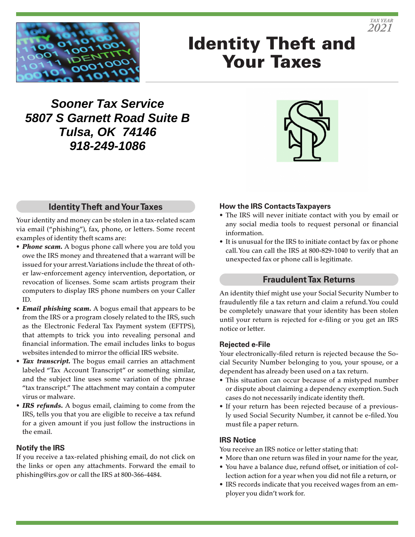

# Identity Theft and Your Taxes

# **Sooner Tax Service 5807 S Garnett Road Suite B Tulsa, OK 74146 918-249-1086**



# **Identity Theft and Your Taxes**

Your identity and money can be stolen in a tax-related scam via email ("phishing"), fax, phone, or letters. Some recent examples of identity theft scams are:

- *Phone scam.* A bogus phone call where you are told you owe the IRS money and threatened that a warrant will be issued for your arrest. Variations include the threat of other law-enforcement agency intervention, deportation, or revocation of licenses. Some scam artists program their computers to display IRS phone numbers on your Caller ID.
- *Email phishing scam.* A bogus email that appears to be from the IRS or a program closely related to the IRS, such as the Electronic Federal Tax Payment system (EFTPS), that attempts to trick you into revealing personal and financial information. The email includes links to bogus websites intended to mirror the official IRS website.
- *Tax transcript.* The bogus email carries an attachment labeled "Tax Account Transcript" or something similar, and the subject line uses some variation of the phrase "tax transcript." The attachment may contain a computer virus or malware.
- *IRS refunds.* A bogus email, claiming to come from the IRS, tells you that you are eligible to receive a tax refund for a given amount if you just follow the instructions in the email.

#### **Notify the IRS**

If you receive a tax-related phishing email, do not click on the links or open any attachments. Forward the email to phishing@irs.gov or call the IRS at 800-366-4484.

### **How the IRS Contacts Taxpayers**

- The IRS will never initiate contact with you by email or any social media tools to request personal or financial information.
- It is unusual for the IRS to initiate contact by fax or phone call. You can call the IRS at 800-829-1040 to verify that an unexpected fax or phone call is legitimate.

### **Fraudulent Tax Returns**

An identity thief might use your Social Security Number to fraudulently file a tax return and claim a refund. You could be completely unaware that your identity has been stolen until your return is rejected for e-filing or you get an IRS notice or letter.

#### **Rejected e-File**

Your electronically-filed return is rejected because the Social Security Number belonging to you, your spouse, or a dependent has already been used on a tax return.

- This situation can occur because of a mistyped number or dispute about claiming a dependency exemption. Such cases do not necessarily indicate identity theft.
- If your return has been rejected because of a previously used Social Security Number, it cannot be e-filed. You must file a paper return.

#### **IRS Notice**

You receive an IRS notice or letter stating that:

- More than one return was filed in your name for the year,
- You have a balance due, refund offset, or initiation of collection action for a year when you did not file a return, or
- IRS records indicate that you received wages from an employer you didn't work for.